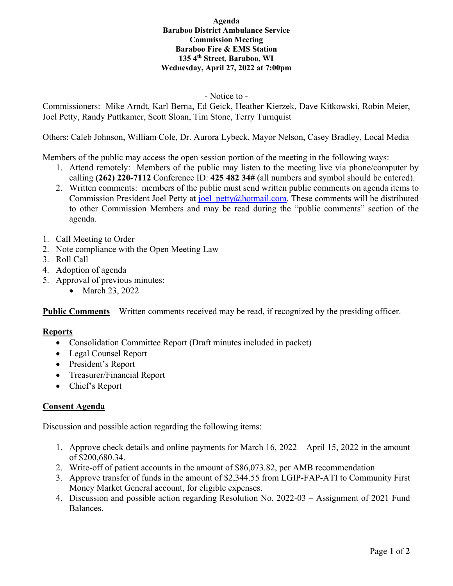## **Agenda Baraboo District Ambulance Service Commission Meeting Baraboo Fire & EMS Station 135 4th Street, Baraboo, WI Wednesday, April 27, 2022 at 7:00pm**

## - Notice to -

Commissioners: Mike Arndt, Karl Berna, Ed Geick, Heather Kierzek, Dave Kitkowski, Robin Meier, Joel Petty, Randy Puttkamer, Scott Sloan, Tim Stone, Terry Turnquist

Others: Caleb Johnson, William Cole, Dr. Aurora Lybeck, Mayor Nelson, Casey Bradley, Local Media

Members of the public may access the open session portion of the meeting in the following ways:

- 1. Attend remotely: Members of the public may listen to the meeting live via phone/computer by calling **(262) 220-7112** Conference ID: **425 482 34#** (all numbers and symbol should be entered).
- 2. Written comments: members of the public must send written public comments on agenda items to Commission President Joel Petty at joel petty@hotmail.com. These comments will be distributed to other Commission Members and may be read during the "public comments" section of the agenda.
- 1. Call Meeting to Order
- 2. Note compliance with the Open Meeting Law
- 3. Roll Call
- 4. Adoption of agenda
- 5. Approval of previous minutes:
	- March 23, 2022

**Public Comments** – Written comments received may be read, if recognized by the presiding officer.

# **Reports**

- Consolidation Committee Report (Draft minutes included in packet)
- Legal Counsel Report
- President's Report
- Treasurer/Financial Report
- Chief's Report

# **Consent Agenda**

Discussion and possible action regarding the following items:

- 1. Approve check details and online payments for March 16, 2022 April 15, 2022 in the amount of \$200,680.34.
- 2. Write-off of patient accounts in the amount of \$86,073.82, per AMB recommendation
- 3. Approve transfer of funds in the amount of \$2,344.55 from LGIP-FAP-ATI to Community First Money Market General account, for eligible expenses.
- 4. Discussion and possible action regarding Resolution No. 2022-03 Assignment of 2021 Fund Balances.